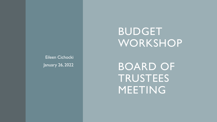Eileen Cichocki January 26, 2022

# **BUDGET** WORKSHOP

BOARD OF TRUSTEES MEETING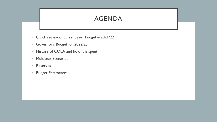## AGENDA

- Quick review of current year budget 2021/22
- Governor's Budget for 2022/23
- History of COLA and how it is spent
- Multiyear Scenarios
- Reserves
- Budget Parameters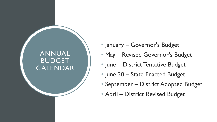# ANNUAL BUDGET CALENDAR

- January Governor's Budget
- May Revised Governor's Budget
- June District Tentative Budget
- June 30 State Enacted Budget
- September District Adopted Budget
- April District Revised Budget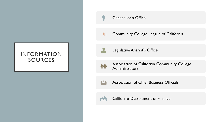#### INFORMATION SOURCES



#### Chancellor's Office



Community College League of California



Legislative Analyst's Office



Association of California Community College **Administrators** 



Association of Chief Business Officials



California Department of Finance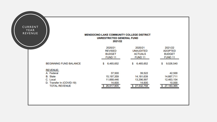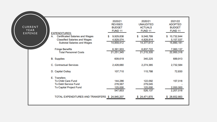| CURRENT<br>YEAR<br><b>EXPENSE</b> | <b>EXPENDITURES:</b><br>А.<br><b>Certificated Salaries and Wages</b>                                       | 2020/21<br><b>REVISED</b><br><b>BUDGET</b><br><b>FUND 11</b><br>9,929,838<br>SS. | 2020/21<br><b>UNAUDITED</b><br><b>ACTUALS</b><br><b>FUND 11</b><br>9,548,799<br>S | 2021/22<br><b>ADOPTED</b><br><b>BUDGET</b><br><b>FUND 11</b><br>\$10,732,644 |
|-----------------------------------|------------------------------------------------------------------------------------------------------------|----------------------------------------------------------------------------------|-----------------------------------------------------------------------------------|------------------------------------------------------------------------------|
|                                   | <b>Classified Salaries and Wages</b><br><b>Subtotal Salaries and Wages</b>                                 | 4,929,574<br>14,859,412                                                          | 4,828,814<br>14,377,613                                                           | 5,157,537<br>15,890,181                                                      |
|                                   | <b>Fringe Benefits</b><br><b>Total Personnel Costs</b>                                                     | 6,391,933<br>21,251,345                                                          | 6,837,722<br>21,215,335                                                           | 7,060,137<br>22,950,318                                                      |
|                                   | <b>B.</b> Supplies                                                                                         | 609,619                                                                          | 340,225                                                                           | 689,913                                                                      |
|                                   | C. Contractual Services                                                                                    | 2,428,680                                                                        | 2,274,385                                                                         | 2,732,584                                                                    |
|                                   | D. Capital Outlay                                                                                          | 107,710                                                                          | 115,788                                                                           | 72,830                                                                       |
|                                   | E. Transfers<br><b>To Child Care Fund</b><br><b>To Debt Service Fund</b><br><b>To Capital Project Fund</b> | 144,286<br>278,567<br>125,000<br>547,853                                         | 122,092<br>279,045<br>125,000<br>526,137                                          | 157,018<br>2,050,000<br>2,207,018                                            |
|                                   | TOTAL EXPENDITURES AND TRANSFERS \$ 24,945,207                                                             |                                                                                  | \$24,471,870                                                                      | \$28,652,663                                                                 |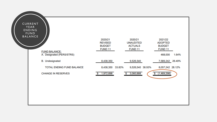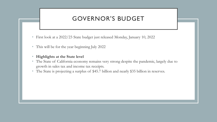### GOVERNOR'S BUDGET

- First look at a 2022/23 State budget just released Monday, January 10, 2022
- This will be for the year beginning July 2022
- **Highlights at the State level**
- The State of California economy remains very strong despite the pandemic, largely due to growth in sales tax and income tax receipts.
- The State is projecting a surplus of \$45.7 billion and nearly \$35 billion in reserves.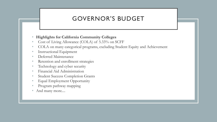## GOVERNOR'S BUDGET

#### • **Highlights for California Community Colleges**

- Cost of Living Allowance (COLA) of 5.33% on SCFF
- COLA on many categorical programs, excluding Student Equity and Achievement
- Instructional Equipment
- Deferred Maintenance
- Retention and enrollment strategies
- Technology and cyber security
- Financial Aid Administration
- Student Success Completion Grants
- Equal Employment Opportunity
- Program pathway mapping
- And many more....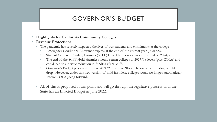## GOVERNOR'S BUDGET

#### • **Highlights for California Community Colleges**

#### • **Revenue Protections**

- The pandemic has severely impacted the lives of our students and enrollments at the college.
	- Emergency Conditions Allowance expires at the end of the current year (2021/22)
	- Student Centered Funding Formula (SCFF) Hold Harmless expires at the end of 2024/25
	- The end of the SCFF Hold Harmless would return colleges to 2017/18 levels (plus COLA) and could lead to a drastic reduction in funding (fiscal cliff)
	- Governor's Budget proposes to make 2024/25 the new "floor", below which funding would not drop. However, under this new version of hold harmless, colleges would no longer automatically receive COLA going forward.
- All of this is proposed at this point and will go through the legislative process until the State has an Enacted Budget in June 2022.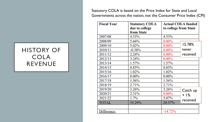Statutory COLA is based on the Price Index for State and Local Governments across the nation, not the Consumer Price Index (CPI)

| <b>Fiscal Year</b> | <b>Statutory COLA</b> |           | <b>Actual COLA funded</b> |  |  |
|--------------------|-----------------------|-----------|---------------------------|--|--|
|                    | due to college        |           | to college from State     |  |  |
|                    | from State            |           |                           |  |  |
| 2007/08            | 4.53%                 | 4.53%     |                           |  |  |
| 2008/09            | 5.66%                 | $0.00\%$  |                           |  |  |
| 2009/10            | 5.02%                 | $0.00\%$  | 15.78%                    |  |  |
| 2010/11            | $-0.38%$              | $0.00\%$  | never                     |  |  |
| 2011/12            | 2.24%                 | $0.00\%$  | received                  |  |  |
| 2012/13            | 3.24%                 | $0.00\%$  |                           |  |  |
| 2013/14            | 1.57%                 | 1.57%     |                           |  |  |
| 2014/15            | 0.85%                 | 0.85%     |                           |  |  |
| 2015/16            | 1.02%                 | 1.02%     |                           |  |  |
| 2016/17            | $0.00\%$              | $0.00\%$  |                           |  |  |
| 2017/18            | 1.56%                 | 1.56%     |                           |  |  |
| 2018/19            | 2.71%                 | 2.71%     |                           |  |  |
| 2019/20            | 3.26%                 | 3.26%     | Catch up                  |  |  |
| 2020/21            | 2.31%                 | $0.00\%$  | $+$  %                    |  |  |
| 2021/22            | 1.7%                  | 5.07%     | received                  |  |  |
| <b>TOTAL</b>       | 35.29%                | 20.57%    |                           |  |  |
|                    |                       |           |                           |  |  |
| Difference:        |                       | $-14.72%$ |                           |  |  |

### HISTORY OF COLA REVENUE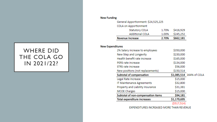### WHERE DID THE COLA GO IN 2021/22?

#### **New Funding**

General Apportionment: \$24,525,225 COLA on Apportionment Statutory COLA \$416,929 1.70% **Additional COLA** \$245,252 1.00% **Revenue Increase** 2.70% \$662,181

#### **New Expenditures**

| 2% Salary increase to employees    | \$350,000   |                          |
|------------------------------------|-------------|--------------------------|
| New Step and Longevity             | \$230,000   |                          |
| Health benefit rate increase       | \$165,000   |                          |
| PERS rate increase                 | \$134,000   |                          |
| STRS rate increase                 | \$56,000    |                          |
| New positions (not replacements)   | \$150,514   |                          |
| Subtotal of compensation           |             | \$1,085,514 164% of COLA |
| Legal Rate Increase                | \$15,000    |                          |
| IT Maintenance Agreements          | \$32,800    |                          |
| Property and Liability Insurance   | \$31,381    |                          |
| <b>MCOE Charges</b>                | \$15,000    |                          |
| Subtotal of non-compensation items | \$94,181    |                          |
| <b>Total expenditure increases</b> | \$1,179,695 |                          |
|                                    | (S517.514)  |                          |

EXPENDITURES INCREASED MORE THAN REVENUE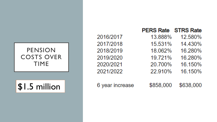### PENSION COSTS OVER TIME

\$1.5 million

|                 | <b>PERS Rate</b> | <b>STRS Rate</b> |
|-----------------|------------------|------------------|
| 2016/2017       | 13.888%          | 12.580%          |
| 2017/2018       | 15.531%          | 14.430%          |
| 2018/2019       | 18.062%          | 16.280%          |
| 2019/2020       | 19.721%          | 16.280%          |
| 2020/2021       | 20.700%          | 16.150%          |
| 2021/2022       | 22.910%          | 16.150%          |
| 6 year increase | \$858,000        | \$638,000        |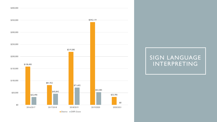

# SIGN LANGUAGE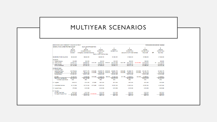| MENDOCINO-LAKE COMMUNITY COLLEGE DISTRICT  |                           |                                       |                           |                                   |          |                              |           |                                 |              |                              |           | FOR BOARD DISCUSSION 1/26/2022 |
|--------------------------------------------|---------------------------|---------------------------------------|---------------------------|-----------------------------------|----------|------------------------------|-----------|---------------------------------|--------------|------------------------------|-----------|--------------------------------|
| <b>GENERAL FUND-UNRESTRICTED BUDGET</b>    |                           | <b>MULTI YEAR PROJECTION</b>          |                           |                                   |          |                              |           |                                 |              |                              |           |                                |
|                                            | Α                         | W                                     |                           |                                   |          | $\overline{2}$               |           | 3                               |              | 4                            |           | 5                              |
|                                            | 2021/22<br><b>ADOPTED</b> | 2021/22<br><b>WORKING BUDGET</b>      |                           | 2022/23<br><b>PROJECTION</b>      |          | 2023/24<br><b>PROJECTION</b> |           | 2024/25<br><b>PROJECTION</b>    |              | 2025/26<br><b>PROJECTION</b> |           | 2025/26<br><b>PROJECTION</b>   |
|                                            |                           |                                       |                           | No ECA                            |          |                              |           |                                 |              |                              | <b>OR</b> | <b>New Floor</b>               |
|                                            | <b>BUDGET</b>             | <b>Emergency Conditions Allowance</b> |                           | <b>Back on SCFF Hold Harmless</b> |          |                              |           | Last vear of SCFF Hold Harmless |              | <b>Fiscal Cliff</b>          |           |                                |
| <b>BEGINNING FUND BALANCE</b>              | \$9,526,540               | \$9,526,540                           |                           | \$8,049.191                       |          | \$7,386.191                  |           | \$7,202,330                     |              | \$7,658,458                  |           | \$7,658,458                    |
| <b>REVENUE:</b>                            |                           |                                       |                           |                                   |          |                              |           |                                 |              |                              |           |                                |
| A. Federal Sources                         | \$42,500                  | \$42,500                              |                           | \$42,500                          |          | \$42,500                     |           | \$42,500                        |              | \$42,500                     |           | \$42,500                       |
| <b>B.</b> State Sources                    | \$14.667.711              | \$14,888,497                          | \$115.195                 | \$15,003.692                      | S788.802 | \$15.792.494                 | \$925.789 | \$16,718,283                    | (S4.643.845) | \$12.074.438                 | S0.       | \$16,718,283                   |
| C. Local Sources                           | \$12,473.154              | \$12,549.416                          |                           | \$12,549.416                      |          | \$12,549.416                 |           | \$12.549.416                    |              | \$12.549.416                 |           | \$12,549.416                   |
| <b>TOTAL REVENUE</b>                       | \$27,183,365              | \$27,480,413                          |                           | \$27,595,608                      |          | \$28,384,411                 |           | \$29,310,199                    |              | \$24,666,354                 |           | \$29,310,199                   |
| <b>EXPENDITURES:</b><br>A. Personnel Costs |                           |                                       |                           |                                   |          |                              |           |                                 |              |                              |           |                                |
| <b>Instructional Salary</b>                | \$10.732.644              | \$10,771,172                          | \$105,000                 | \$10.876.172 \$105.000            |          | \$10,981.172                 | \$105.000 | \$11.086.172                    | \$105,000    | \$11.191.172                 |           | \$11.191.172                   |
| <b>Classified Salary</b>                   | S5.157.537                | \$5,303,126                           | \$105,000                 | \$5,408.126 \$105,000             |          | \$5,513.126                  | \$105,000 | \$5,618,126                     | \$105,000    | \$5,723,126                  |           | S5.723.126                     |
| <b>Subtotal Salary</b>                     | \$15,890,181              | \$16,074.298                          |                           | \$16,284,298                      |          | \$16,494.298                 |           | \$16,704,298                    |              | \$16.914.298                 |           | \$16,914,298                   |
| <b>Benefits</b>                            | \$7.060.137               | \$7,088,668                           | \$395.846                 | \$7,484.514                       | \$99.664 | \$7,584,178                  | S75.799   | \$7,659,977                     | \$40,000     | \$7,699.977                  |           | \$7,699,977                    |
| <b>Total Salary and Benefits</b>           | \$22.950.318              | \$23,162.966                          |                           | \$23.768.812                      |          | \$24,078,476                 |           | \$24.364.275                    |              | \$24,614,275                 |           | \$24,614,275                   |
| % of total expenditures:                   | 80%                       | 80%                                   |                           | 84%                               |          | 84%                          |           | 84%                             |              | 85%                          |           | 85%                            |
| <b>B.</b> Supplies                         | S689.913                  | \$741.686                             | \$70,000                  | \$811,686                         |          | \$811.686                    |           | \$811.686                       |              | \$811.686                    |           | S811.686                       |
| C. Contractual Services                    | \$2.732.584               | \$2,722,696                           | \$275.000                 | \$2,997.696                       |          | \$2,997.696                  |           | \$2,997.696                     |              | \$2,997.696                  |           | \$2,997.696                    |
| D. Capital Outlay                          | \$72.830                  | \$123.396                             |                           | \$123.396                         |          | \$123.396                    |           | \$123,396                       |              | \$123.396                    |           | \$123.396                      |
| E. Transfers                               |                           |                                       |                           |                                   |          |                              |           |                                 |              |                              |           |                                |
| <b>To Child Care Fund</b>                  | \$157,018                 | \$157,018                             |                           | \$157,018                         |          | \$157,018                    |           | \$157,018                       |              | \$157,018                    |           | \$157,018                      |
| <b>To Capital Projects Fund</b>            | \$2,050,000               |                                       | \$2,050,000 (\$1,650,000) | \$400,000<br>\$557.018            |          | \$400,000                    |           | \$400,000<br>\$557.018          |              | \$400,000<br>S557.018        |           | \$400,000<br>\$557.018         |
|                                            | \$2,207,018               | \$2,207,018                           |                           |                                   |          | \$557,018                    |           |                                 |              |                              |           |                                |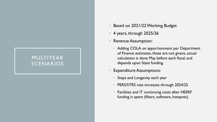- Based on 2021/22 Working Budget
- 4 years, through 2025/26
- Revenue Assumption:
	- Adding COLA on apportionment per Department of Finance estimates, these are not givens, actual calculation is done May before each fiscal, and depends upon State funding.
- **Expenditure Assumptions:** 
	- Steps and Longevity each year
	- PERS/STRS rate increases through 2024/25
	- Facilities and IT continuing costs after HEERF funding is spent (filters, software, hotspots).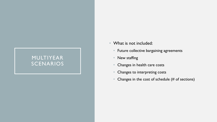- What is not included:
	- Future collective bargaining agreements
	- New staffing
	- Changes in health care costs
	- Changes to interpreting costs
	- Changes in the cost of schedule (# of sections)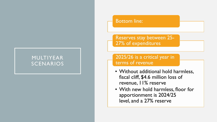#### Bottom line:

Reserves stay between 25- 27% of expenditures

2025/26 is a critical year in terms of revenue

- Without additional hold harmless, fiscal cliff, \$4.6 million loss of revenue, 11% reserve
- With new hold harmless, floor for apportionment is 2024/25 level, and a 27% reserve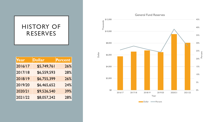# HISTORY OF RESERVES

| Year    | <b>Dollar</b> | <b>Percent</b> |
|---------|---------------|----------------|
| 2016/17 | \$5,749,761   | 26%            |
| 2017/18 | \$6,559,593   | 28%            |
| 2018/19 | \$6,755,399   | 26%            |
| 2019/20 | \$6,465,652   | 24%            |
| 2020/21 | \$9,526,540   | 39%            |
| 2021/22 | \$8,057,242   | 28%            |



Dollar **-**Percent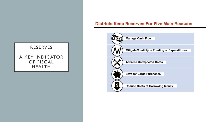#### **Districts Keep Reserves For Five Main Reasons**



#### RESERVES

A KEY INDICATOR OF FISCAL HEALTH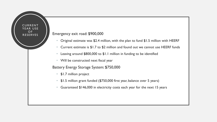#### Emergency exit road: \$900,000

CURRENT YEAR USE

OF<br>RESERVES

- Original estimate was \$2.4 million, with the plan to fund \$1.5 million with HEERF
- Current estimate is \$1.7 to \$2 million and found out we cannot use HEERF funds
- Leaving around \$800,000 to \$1.1 million in funding to be identified
- Will be constructed next fiscal year

#### Battery Energy Storage System: \$750,000

- \$1.7 million project
- \$1.5 million grant funded (\$750,000 first year, balance over 5 years)
- Guaranteed \$146,000 in electricity costs each year for the next 15 years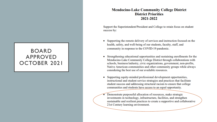#### BOARD APPROVED OCTOBER 2021

#### **Mendocino-Lake Community College District District Priorities** 2021-2022

Support the Superintendent/President and College to retain focus on student success by:

- Supporting the remote delivery of services and instruction focused on the health, safety, and well-being of our students, faculty, staff, and community in response to the COVID-19 pandemic.
- Strengthening educational opportunities and sustaining enrollments for the Mendocino-Lake Community College District through collaborations with schools, business/industry, civic organizations, government, non-profits, Native American communities and other community groups while always considering the best use of our available resources.
- Supporting equity-minded professional development opportunities, instructional and student service strategies and practices that facilitate student success and addressing structural racism to ensure that college communities and students have access to an equal opportunity.

Demonstrate purposeful allocation of resources, make strategic investments in technology, infrastructure, facilities, and strengthen sustainable and resilient practices to create a supportive and collaborative 21st Century learning environment.